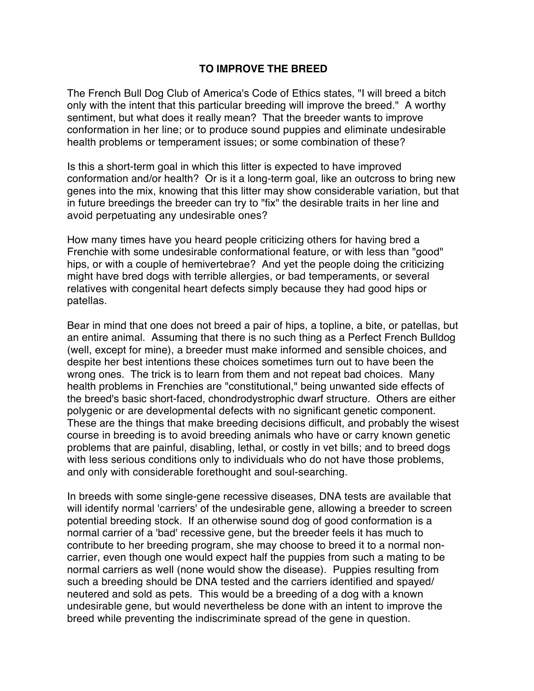## **TO IMPROVE THE BREED**

The French Bull Dog Club of America's Code of Ethics states, "I will breed a bitch only with the intent that this particular breeding will improve the breed." A worthy sentiment, but what does it really mean? That the breeder wants to improve conformation in her line; or to produce sound puppies and eliminate undesirable health problems or temperament issues; or some combination of these?

Is this a short-term goal in which this litter is expected to have improved conformation and/or health? Or is it a long-term goal, like an outcross to bring new genes into the mix, knowing that this litter may show considerable variation, but that in future breedings the breeder can try to "fix" the desirable traits in her line and avoid perpetuating any undesirable ones?

How many times have you heard people criticizing others for having bred a Frenchie with some undesirable conformational feature, or with less than "good" hips, or with a couple of hemivertebrae? And yet the people doing the criticizing might have bred dogs with terrible allergies, or bad temperaments, or several relatives with congenital heart defects simply because they had good hips or patellas.

Bear in mind that one does not breed a pair of hips, a topline, a bite, or patellas, but an entire animal. Assuming that there is no such thing as a Perfect French Bulldog (well, except for mine), a breeder must make informed and sensible choices, and despite her best intentions these choices sometimes turn out to have been the wrong ones. The trick is to learn from them and not repeat bad choices. Many health problems in Frenchies are "constitutional," being unwanted side effects of the breed's basic short-faced, chondrodystrophic dwarf structure. Others are either polygenic or are developmental defects with no significant genetic component. These are the things that make breeding decisions difficult, and probably the wisest course in breeding is to avoid breeding animals who have or carry known genetic problems that are painful, disabling, lethal, or costly in vet bills; and to breed dogs with less serious conditions only to individuals who do not have those problems, and only with considerable forethought and soul-searching.

In breeds with some single-gene recessive diseases, DNA tests are available that will identify normal 'carriers' of the undesirable gene, allowing a breeder to screen potential breeding stock. If an otherwise sound dog of good conformation is a normal carrier of a 'bad' recessive gene, but the breeder feels it has much to contribute to her breeding program, she may choose to breed it to a normal noncarrier, even though one would expect half the puppies from such a mating to be normal carriers as well (none would show the disease). Puppies resulting from such a breeding should be DNA tested and the carriers identified and spayed/ neutered and sold as pets. This would be a breeding of a dog with a known undesirable gene, but would nevertheless be done with an intent to improve the breed while preventing the indiscriminate spread of the gene in question.